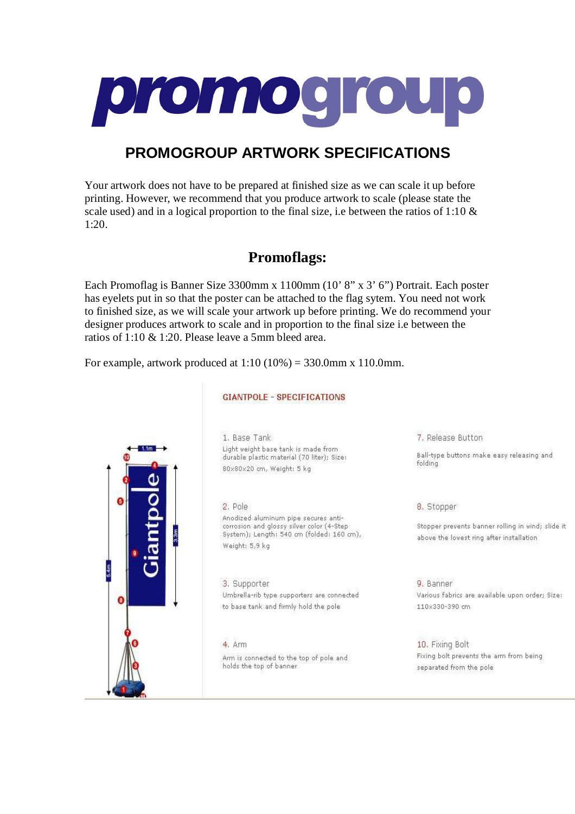

# **PROMOGROUP ARTWORK SPECIFICATIONS**

Your artwork does not have to be prepared at finished size as we can scale it up before printing. However, we recommend that you produce artwork to scale (please state the scale used) and in a logical proportion to the final size, i.e between the ratios of 1:10  $\&$ 1:20.

## **Promoflags:**

Each Promoflag is Banner Size 3300mm x 1100mm (10' 8" x 3' 6") Portrait. Each poster has eyelets put in so that the poster can be attached to the flag sytem. You need not work to finished size, as we will scale your artwork up before printing. We do recommend your designer produces artwork to scale and in proportion to the final size i.e between the ratios of 1:10 & 1:20. Please leave a 5mm bleed area.

For example, artwork produced at  $1:10 (10\%) = 330.0$ mm x 110.0mm.



#### **GIANTPOLE - SPECIFICATIONS**

1. Base Tank Light weight base tank is made from durable plastic material (70 liter); Size: 80x80x20 cm, Weight: 5 kg

2. Pole Anodized aluminum pipe secures anticorrosion and glossy silver color (4-Step System); Length: 540 cm (folded: 160 cm), Weight: 5,9 kg

3. Supporter Umbrella-rib type supporters are connected to base tank and firmly hold the pole

 $4 \,$  arm Arm is connected to the top of pole and holds the top of banner

7. Release Button

Ball-type buttons make easy releasing and folding

8. Stopper

Stopper prevents banner rolling in wind; slide it above the lowest ring after installation

9. Banner Various fabrics are available upon order: Size: 110x330×390 cm

10. Fixing Bolt Fixing bolt prevents the arm from being separated from the pole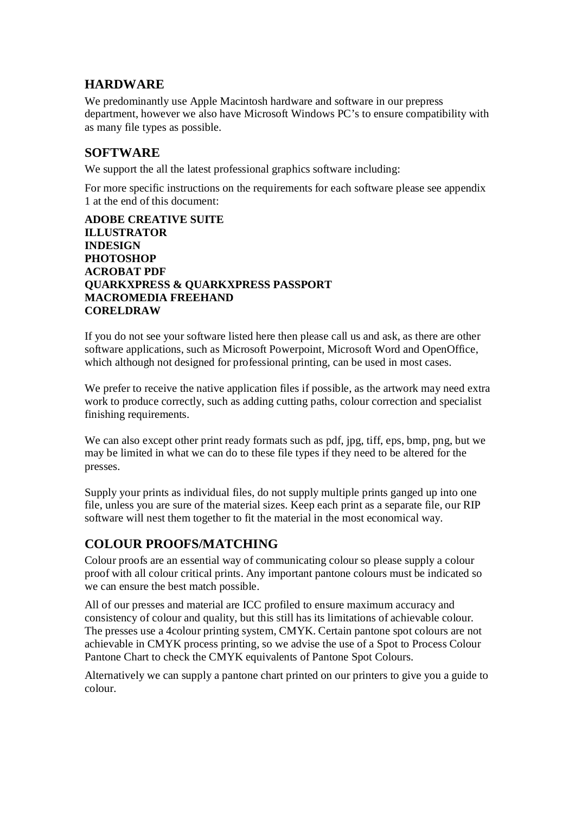## **HARDWARE**

We predominantly use Apple Macintosh hardware and software in our prepress department, however we also have Microsoft Windows PC's to ensure compatibility with as many file types as possible.

## **SOFTWARE**

We support the all the latest professional graphics software including:

For more specific instructions on the requirements for each software please see appendix 1 at the end of this document:

#### **ADOBE CREATIVE SUITE ILLUSTRATOR INDESIGN PHOTOSHOP ACROBAT PDF QUARKXPRESS & QUARKXPRESS PASSPORT MACROMEDIA FREEHAND CORELDRAW**

If you do not see your software listed here then please call us and ask, as there are other software applications, such as Microsoft Powerpoint, Microsoft Word and OpenOffice, which although not designed for professional printing, can be used in most cases.

We prefer to receive the native application files if possible, as the artwork may need extra work to produce correctly, such as adding cutting paths, colour correction and specialist finishing requirements.

We can also except other print ready formats such as pdf, jpg, tiff, eps, bmp, png, but we may be limited in what we can do to these file types if they need to be altered for the presses.

Supply your prints as individual files, do not supply multiple prints ganged up into one file, unless you are sure of the material sizes. Keep each print as a separate file, our RIP software will nest them together to fit the material in the most economical way.

## **COLOUR PROOFS/MATCHING**

Colour proofs are an essential way of communicating colour so please supply a colour proof with all colour critical prints. Any important pantone colours must be indicated so we can ensure the best match possible.

All of our presses and material are ICC profiled to ensure maximum accuracy and consistency of colour and quality, but this still has its limitations of achievable colour. The presses use a 4colour printing system, CMYK. Certain pantone spot colours are not achievable in CMYK process printing, so we advise the use of a Spot to Process Colour Pantone Chart to check the CMYK equivalents of Pantone Spot Colours.

Alternatively we can supply a pantone chart printed on our printers to give you a guide to colour.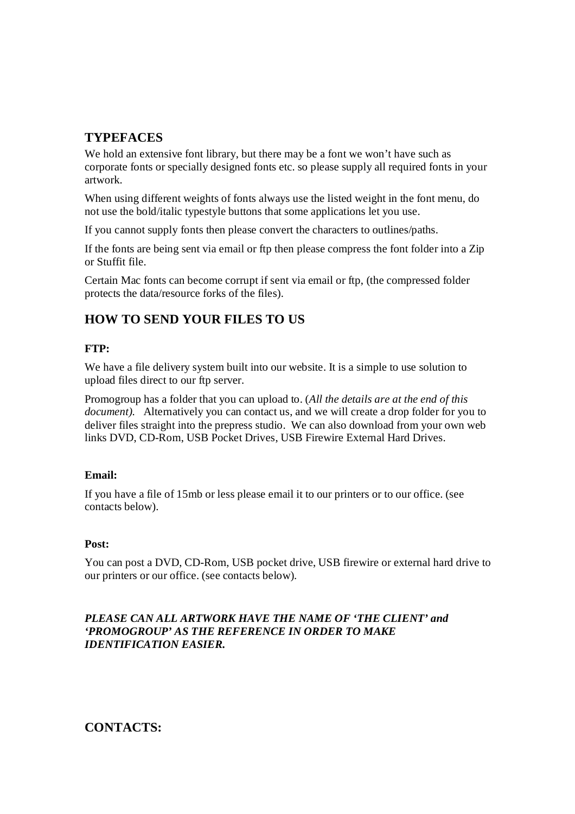## **TYPEFACES**

We hold an extensive font library, but there may be a font we won't have such as corporate fonts or specially designed fonts etc. so please supply all required fonts in your artwork.

When using different weights of fonts always use the listed weight in the font menu, do not use the bold/italic typestyle buttons that some applications let you use.

If you cannot supply fonts then please convert the characters to outlines/paths.

If the fonts are being sent via email or ftp then please compress the font folder into a Zip or Stuffit file.

Certain Mac fonts can become corrupt if sent via email or ftp, (the compressed folder protects the data/resource forks of the files).

## **HOW TO SEND YOUR FILES TO US**

#### **FTP:**

We have a file delivery system built into our website. It is a simple to use solution to upload files direct to our ftp server.

Promogroup has a folder that you can upload to. (*All the details are at the end of this document).* Alternatively you can contact us, and we will create a drop folder for you to deliver files straight into the prepress studio. We can also download from your own web links DVD, CD-Rom, USB Pocket Drives, USB Firewire External Hard Drives.

#### **Email:**

If you have a file of 15mb or less please email it to our printers or to our office. (see contacts below).

#### **Post:**

You can post a DVD, CD-Rom, USB pocket drive, USB firewire or external hard drive to our printers or our office. (see contacts below).

#### *PLEASE CAN ALL ARTWORK HAVE THE NAME OF 'THE CLIENT' and 'PROMOGROUP' AS THE REFERENCE IN ORDER TO MAKE IDENTIFICATION EASIER.*

## **CONTACTS:**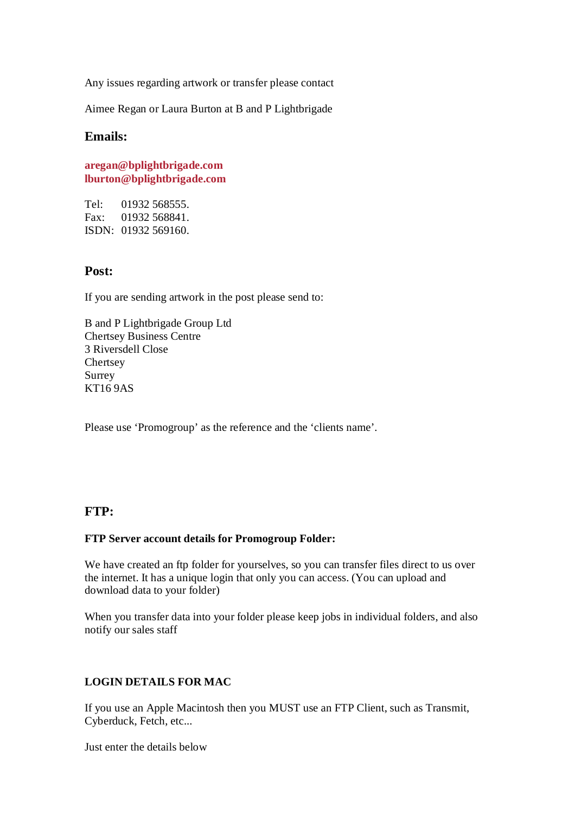Any issues regarding artwork or transfer please contact

Aimee Regan or Laura Burton at B and P Lightbrigade

### **Emails:**

**aregan@bplightbrigade.com lburton@bplightbrigade.com**

Tel: 01932 568555. Fax: 01932 568841. ISDN: 01932 569160.

### **Post:**

If you are sending artwork in the post please send to:

B and P Lightbrigade Group Ltd Chertsey Business Centre 3 Riversdell Close **Chertsey** Surrey KT16 9AS

Please use 'Promogroup' as the reference and the 'clients name'.

### **FTP:**

#### **FTP Server account details for Promogroup Folder:**

We have created an ftp folder for yourselves, so you can transfer files direct to us over the internet. It has a unique login that only you can access. (You can upload and download data to your folder)

When you transfer data into your folder please keep jobs in individual folders, and also notify our sales staff

#### **LOGIN DETAILS FOR MAC**

If you use an Apple Macintosh then you MUST use an FTP Client, such as Transmit, Cyberduck, Fetch, etc...

Just enter the details below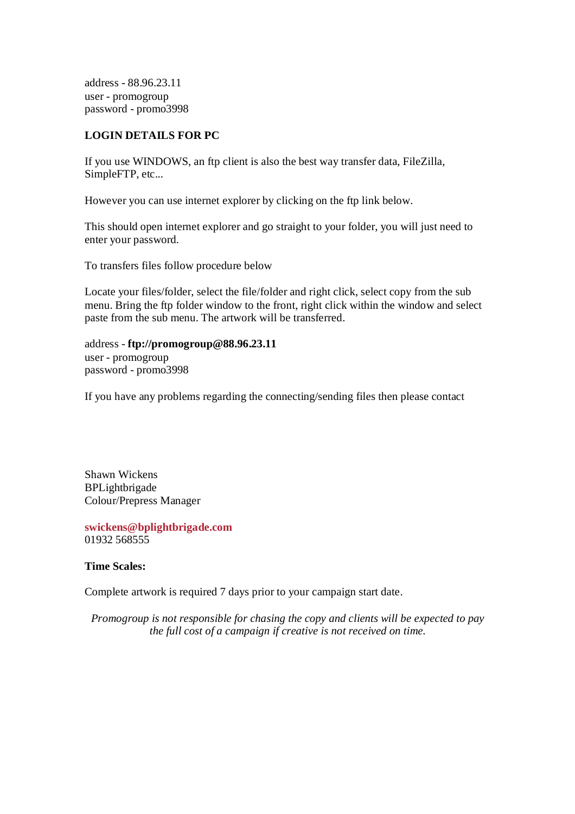address - 88.96.23.11 user - promogroup password - promo3998

#### **LOGIN DETAILS FOR PC**

If you use WINDOWS, an ftp client is also the best way transfer data, FileZilla, SimpleFTP, etc...

However you can use internet explorer by clicking on the ftp link below.

This should open internet explorer and go straight to your folder, you will just need to enter your password.

To transfers files follow procedure below

Locate your files/folder, select the file/folder and right click, select copy from the sub menu. Bring the ftp folder window to the front, right click within the window and select paste from the sub menu. The artwork will be transferred.

address - **ftp://promogroup@88.96.23.11** user - promogroup password - promo3998

If you have any problems regarding the connecting/sending files then please contact

Shawn Wickens BPLightbrigade Colour/Prepress Manager

**swickens@bplightbrigade.com** 01932 568555

**Time Scales:** 

Complete artwork is required 7 days prior to your campaign start date.

*Promogroup is not responsible for chasing the copy and clients will be expected to pay the full cost of a campaign if creative is not received on time.*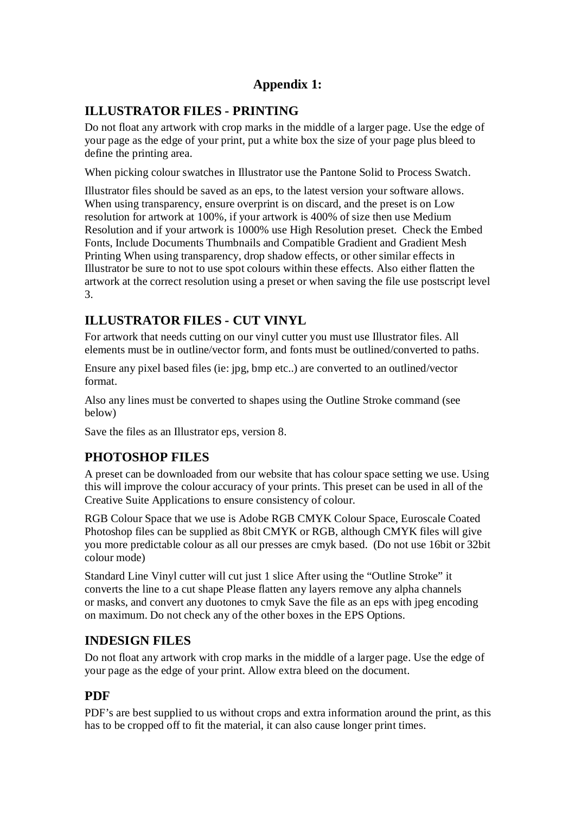## **Appendix 1:**

## **ILLUSTRATOR FILES - PRINTING**

Do not float any artwork with crop marks in the middle of a larger page. Use the edge of your page as the edge of your print, put a white box the size of your page plus bleed to define the printing area.

When picking colour swatches in Illustrator use the Pantone Solid to Process Swatch.

Illustrator files should be saved as an eps, to the latest version your software allows. When using transparency, ensure overprint is on discard, and the preset is on Low resolution for artwork at 100%, if your artwork is 400% of size then use Medium Resolution and if your artwork is 1000% use High Resolution preset. Check the Embed Fonts, Include Documents Thumbnails and Compatible Gradient and Gradient Mesh Printing When using transparency, drop shadow effects, or other similar effects in Illustrator be sure to not to use spot colours within these effects. Also either flatten the artwork at the correct resolution using a preset or when saving the file use postscript level 3.

## **ILLUSTRATOR FILES - CUT VINYL**

For artwork that needs cutting on our vinyl cutter you must use Illustrator files. All elements must be in outline/vector form, and fonts must be outlined/converted to paths.

Ensure any pixel based files (ie: jpg, bmp etc..) are converted to an outlined/vector format.

Also any lines must be converted to shapes using the Outline Stroke command (see below)

Save the files as an Illustrator eps, version 8.

## **PHOTOSHOP FILES**

A preset can be downloaded from our website that has colour space setting we use. Using this will improve the colour accuracy of your prints. This preset can be used in all of the Creative Suite Applications to ensure consistency of colour.

RGB Colour Space that we use is Adobe RGB CMYK Colour Space, Euroscale Coated Photoshop files can be supplied as 8bit CMYK or RGB, although CMYK files will give you more predictable colour as all our presses are cmyk based. (Do not use 16bit or 32bit colour mode)

Standard Line Vinyl cutter will cut just 1 slice After using the "Outline Stroke" it converts the line to a cut shape Please flatten any layers remove any alpha channels or masks, and convert any duotones to cmyk Save the file as an eps with jpeg encoding on maximum. Do not check any of the other boxes in the EPS Options.

## **INDESIGN FILES**

Do not float any artwork with crop marks in the middle of a larger page. Use the edge of your page as the edge of your print. Allow extra bleed on the document.

## **PDF**

PDF's are best supplied to us without crops and extra information around the print, as this has to be cropped off to fit the material, it can also cause longer print times.